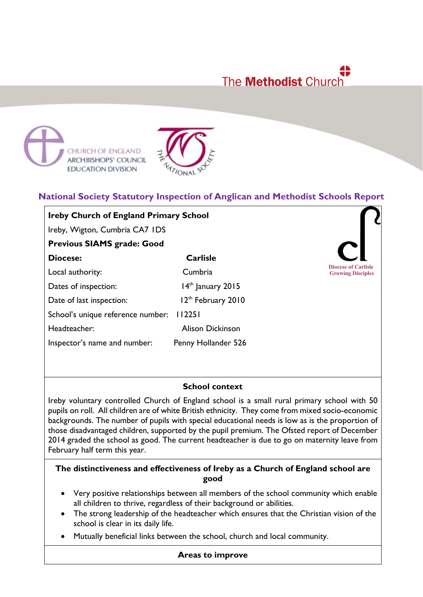# ╬ The **Methodist** Church





# **National Society Statutory Inspection of Anglican and Methodist Schools Report**

#### **Ireby Church of England Primary School**

Ireby, Wigton, Cumbria CA7 1DS

**Previous SIAMS grade: Good**

| Diocese:                                 | <b>Carlisle</b>                |                                                        |
|------------------------------------------|--------------------------------|--------------------------------------------------------|
| Local authority:                         | Cumbria                        | <b>Diocese of Carlisle</b><br><b>Growing Disciples</b> |
| Dates of inspection:                     | $14th$ January 2015            |                                                        |
| Date of last inspection:                 | 12 <sup>th</sup> February 2010 |                                                        |
| School's unique reference number: 112251 |                                |                                                        |
| Headteacher:                             | <b>Alison Dickinson</b>        |                                                        |
| Inspector's name and number:             | Penny Hollander 526            |                                                        |
|                                          |                                |                                                        |

#### **School context**

Ireby voluntary controlled Church of England school is a small rural primary school with 50 pupils on roll. All children are of white British ethnicity. They come from mixed socio-economic backgrounds. The number of pupils with special educational needs is low as is the proportion of those disadvantaged children, supported by the pupil premium. The Ofsted report of December 2014 graded the school as good. The current headteacher is due to go on maternity leave from February half term this year.

#### **The distinctiveness and effectiveness of Ireby as a Church of England school are good**

- Very positive relationships between all members of the school community which enable all children to thrive, regardless of their background or abilities.
- The strong leadership of the headteacher which ensures that the Christian vision of the school is clear in its daily life.
- Mutually beneficial links between the school, church and local community.

#### **Areas to improve**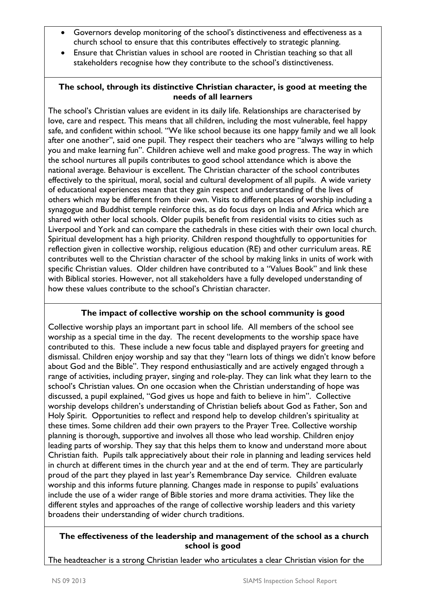- Governors develop monitoring of the school's distinctiveness and effectiveness as a church school to ensure that this contributes effectively to strategic planning.
- Ensure that Christian values in school are rooted in Christian teaching so that all stakeholders recognise how they contribute to the school's distinctiveness.

#### **The school, through its distinctive Christian character, is good at meeting the needs of all learners**

The school's Christian values are evident in its daily life. Relationships are characterised by love, care and respect. This means that all children, including the most vulnerable, feel happy safe, and confident within school. "We like school because its one happy family and we all look after one another", said one pupil. They respect their teachers who are "always willing to help you and make learning fun". Children achieve well and make good progress. The way in which the school nurtures all pupils contributes to good school attendance which is above the national average. Behaviour is excellent. The Christian character of the school contributes effectively to the spiritual, moral, social and cultural development of all pupils. A wide variety of educational experiences mean that they gain respect and understanding of the lives of others which may be different from their own. Visits to different places of worship including a synagogue and Buddhist temple reinforce this, as do focus days on India and Africa which are shared with other local schools. Older pupils benefit from residential visits to cities such as Liverpool and York and can compare the cathedrals in these cities with their own local church. Spiritual development has a high priority. Children respond thoughtfully to opportunities for reflection given in collective worship, religious education (RE) and other curriculum areas. RE contributes well to the Christian character of the school by making links in units of work with specific Christian values. Older children have contributed to a "Values Book" and link these with Biblical stories. However, not all stakeholders have a fully developed understanding of how these values contribute to the school's Christian character.

### **The impact of collective worship on the school community is good**

Collective worship plays an important part in school life. All members of the school see worship as a special time in the day. The recent developments to the worship space have contributed to this. These include a new focus table and displayed prayers for greeting and dismissal. Children enjoy worship and say that they "learn lots of things we didn't know before about God and the Bible". They respond enthusiastically and are actively engaged through a range of activities, including prayer, singing and role-play. They can link what they learn to the school's Christian values. On one occasion when the Christian understanding of hope was discussed, a pupil explained, "God gives us hope and faith to believe in him". Collective worship develops children's understanding of Christian beliefs about God as Father, Son and Holy Spirit. Opportunities to reflect and respond help to develop children's spirituality at these times. Some children add their own prayers to the Prayer Tree. Collective worship planning is thorough, supportive and involves all those who lead worship. Children enjoy leading parts of worship. They say that this helps them to know and understand more about Christian faith. Pupils talk appreciatively about their role in planning and leading services held in church at different times in the church year and at the end of term. They are particularly proud of the part they played in last year's Remembrance Day service. Children evaluate worship and this informs future planning. Changes made in response to pupils' evaluations include the use of a wider range of Bible stories and more drama activities. They like the different styles and approaches of the range of collective worship leaders and this variety broadens their understanding of wider church traditions.

## **The effectiveness of the leadership and management of the school as a church school is good**

The headteacher is a strong Christian leader who articulates a clear Christian vision for the